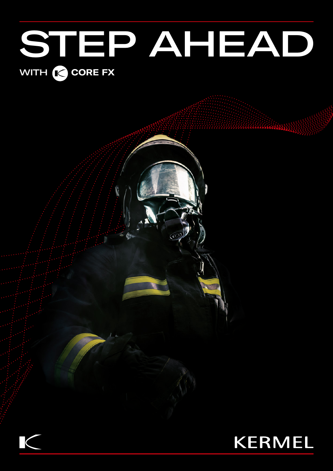# STEP AHEAD WITH **CORE FX**



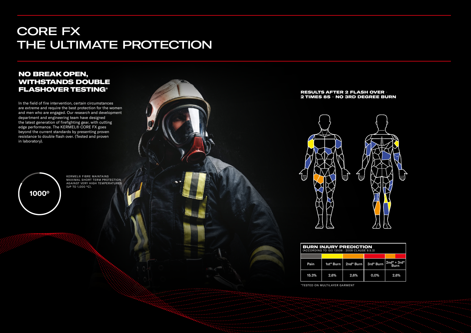### NO BREAK OPEN, WITHSTANDS DOUBLE FLASHOVER TESTING\*

In the field of fire intervention, certain circumstances are extreme and require the best protection for the women and men who are engaged. Our research and development department and engineering team have designed the latest generation of firefighting gear, with cutting edge performance. The KERMEL® CORE FX goes beyond the current standards by presenting proven resistance to double flash over. (Tested and proven in laboratory).



KERMEL® FIBRE MAINTAINS MAXIMAL SHORT TERM PROTECTION AGAINST VERY HIGH TEMPERATURES (UP TO 1,000 °C).

## CORE FX THE ULTIMATE PROTECTION

| Pain  | 1st° Burn | 2nd <sup>o</sup> Burn | 3rd <sup>o</sup> Burn | $2nd^{\circ} + 3rd^{\circ}$<br>Burn |
|-------|-----------|-----------------------|-----------------------|-------------------------------------|
| 15.3% | 2,6%      | 2,6%                  | 0,0%                  | 2,6%                                |

# BURN INJURY PREDICTION (ACCORDING TO ISO 13506 : 2008 CLAUSE 9.5.3)

\*TESTED ON MULTILAYER GARMENT



#### RESULTS AFTER 2 FLASH OVER - 2 TIMES 8S – NO 3RD DEGREE BURN

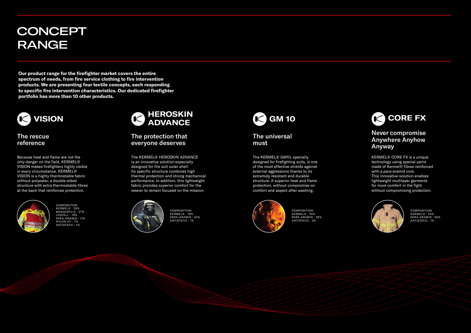**Our product range for the firefighter market covers the entire spectrum of needs, from fire service clothing to fire intervention products. We are presenting four textile concepts, each responding to specific fire intervention characteristics. Our dedicated firefighter portfolio has more than 10 other products.**

# **CONCEPT** RANGE

Because heat and flame are not the only danger on the field, KERMEL® VISION makes firefighters highly visible in every circumstance. KERMEL® VISION is a highly thermostable fabric without polyester; a double-sided structure with extra thermostable fibres at the back that reinforces protection.



#### The rescue reference



COMPOSITION KERMEL® : 35% MODACRYLIC : 27% LYOCELL : 19% PARA-ARAMID : 11% NYLON HT : 7% ANTISTATIC : 1%

KERMEL® CORE FX is a unique technology using special yarns made of Kermel® fibres reinforced with a para-aramid core. This innovative solution enables lightweight multilayer garments for more comfort in the fight without compromising protection.



#### Never compromise Anywhere Anyhow Anyway



COMPOSITION KERMEL® : 44% PARA-ARAMID : 55% ANTISTATIC : 1%

The KERMEL® GM10, specially designed for firefighting suits, is one of the most effective shields against external aggressions thanks to its extremely resistant and durable structure. A superior heat and flame protection, without compromise on comfort and aspect after washing.



The universal must



COMPOSITION KERMEL® : 70% PARA-ARAMID : 28% ANTISTATIC : 2%

The KERMEL® HEROSKIN ADVANCE is an innovative solution especially designed for fire suit outer shell. Its specific structure combines high thermal protection and strong mechanical performance. In addition, this lightweight fabric provides superior comfort for the wearer to remain focused on the mission.



The protection that everyone deserves



COMPOSITION KERMEL® : 79% PARA-ARAMID : 20% ANTISTATIC : 1%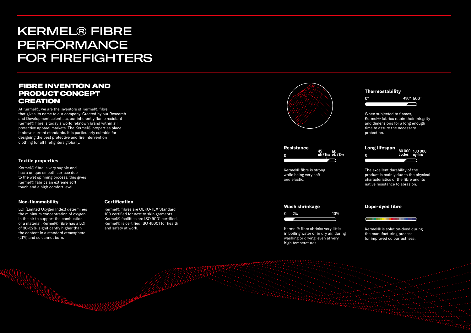Kermel® fibre is strong while being very soft and elastic.

characteristics of the fibre and its native resistance to abrasion.

#### **Thermostability** When subjected to flames, Kermel® fabrics retain their integrity and dimensions for a long enough time to assure the necessary protection. **Long lifespan** The excellent durability of the product is mainly due to the physical 0° 430° 500° 100 000 80 000 cycles cycles

#### **Dope-dyed fibre**

**Resistance** 0 45 cN/Tex <sup>50</sup> cN/Tex 0

> Kermel® is solution-dyed during the manufacturing process for improved colourfastness.

<u> Charles III (m. 1858)</u>

#### **Wash shrinkage**

Kermel® fibre shrinks very little in boiling water or in dry air, during washing or drying, even at very high temperatures.



#### FIBRE INVENTION AND PRODUCT CONCEPT CREATION

At Kermel®, we are the inventors of Kermel® fibre that gives its name to our company. Created by our Research and Development scientists, our inherently flame resistant Kermel® fibre is today a world reknown brand within all protective apparel markets. The Kermel® properties place it above current standards. It is particularly suitable for designing the best protective and fire intervention clothing for all firefighters globally.

#### **Non-flammability**

LOI (Limited Oxygen Index) determines the minimum concentration of oxygen in the air to support the combustion of a material. Kermel® fibre has a LOI of 30-32%, significantly higher than the content in a standard atmosphere (21%) and so cannot burn.

#### **Certification**

Kermel® fibres are OEKO-TEX Standard 100 certified for next to skin garments. Kermel® facilities are ISO 9001 certified. Kermel® is certified ISO 45001 for health and safety at work.



#### **Textile properties**

Kermel® fibre is very supple and has a unique smooth surface due to the wet spinning process, this gives Kermel® fabrics an extreme soft touch and a high comfort level.

# KERMEL® FIBRE PERFORMANCE FOR FIREFIGHTERS